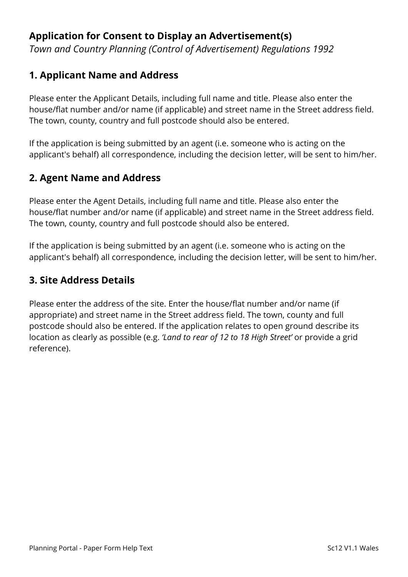# **Application for Consent to Display an Advertisement(s)**

*Town and Country Planning (Control of Advertisement) Regulations 1992*

### **1. Applicant Name and Address**

Please enter the Applicant Details, including full name and title. Please also enter the house/flat number and/or name (if applicable) and street name in the Street address field. The town, county, country and full postcode should also be entered.

If the application is being submitted by an agent (i.e. someone who is acting on the applicant's behalf) all correspondence, including the decision letter, will be sent to him/her.

# **2. Agent Name and Address**

Please enter the Agent Details, including full name and title. Please also enter the house/flat number and/or name (if applicable) and street name in the Street address field. The town, county, country and full postcode should also be entered.

If the application is being submitted by an agent (i.e. someone who is acting on the applicant's behalf) all correspondence, including the decision letter, will be sent to him/her.

### **3. Site Address Details**

Please enter the address of the site. Enter the house/flat number and/or name (if appropriate) and street name in the Street address field. The town, county and full postcode should also be entered. If the application relates to open ground describe its location as clearly as possible (e.g. *'Land to rear of 12 to 18 High Street'* or provide a grid reference).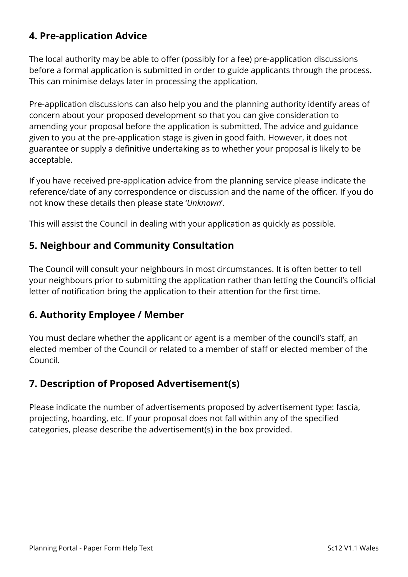# **4. Pre-application Advice**

The local authority may be able to offer (possibly for a fee) pre-application discussions before a formal application is submitted in order to guide applicants through the process. This can minimise delays later in processing the application.

Pre-application discussions can also help you and the planning authority identify areas of concern about your proposed development so that you can give consideration to amending your proposal before the application is submitted. The advice and guidance given to you at the pre-application stage is given in good faith. However, it does not guarantee or supply a definitive undertaking as to whether your proposal is likely to be acceptable.

If you have received pre-application advice from the planning service please indicate the reference/date of any correspondence or discussion and the name of the officer. If you do not know these details then please state '*Unknown*'.

This will assist the Council in dealing with your application as quickly as possible.

### **5. Neighbour and Community Consultation**

The Council will consult your neighbours in most circumstances. It is often better to tell your neighbours prior to submitting the application rather than letting the Council's official letter of notification bring the application to their attention for the first time.

#### **6. Authority Employee / Member**

You must declare whether the applicant or agent is a member of the council's staff, an elected member of the Council or related to a member of staff or elected member of the Council.

# **7. Description of Proposed Advertisement(s)**

Please indicate the number of advertisements proposed by advertisement type: fascia, projecting, hoarding, etc. If your proposal does not fall within any of the specified categories, please describe the advertisement(s) in the box provided.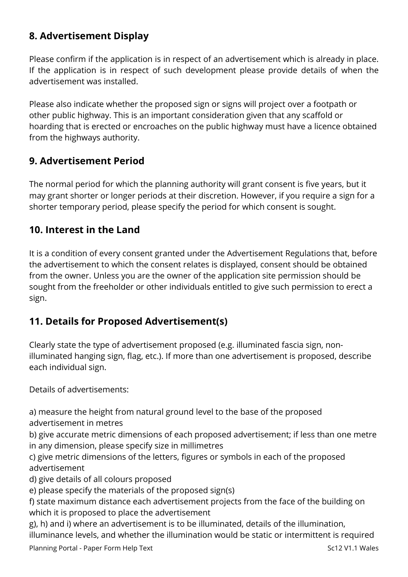# **8. Advertisement Display**

Please confirm if the application is in respect of an advertisement which is already in place. If the application is in respect of such development please provide details of when the advertisement was installed.

Please also indicate whether the proposed sign or signs will project over a footpath or other public highway. This is an important consideration given that any scaffold or hoarding that is erected or encroaches on the public highway must have a licence obtained from the highways authority.

### **9. Advertisement Period**

The normal period for which the planning authority will grant consent is five years, but it may grant shorter or longer periods at their discretion. However, if you require a sign for a shorter temporary period, please specify the period for which consent is sought.

#### **10. Interest in the Land**

It is a condition of every consent granted under the Advertisement Regulations that, before the advertisement to which the consent relates is displayed, consent should be obtained from the owner. Unless you are the owner of the application site permission should be sought from the freeholder or other individuals entitled to give such permission to erect a sign.

### **11. Details for Proposed Advertisement(s)**

Clearly state the type of advertisement proposed (e.g. illuminated fascia sign, nonilluminated hanging sign, flag, etc.). If more than one advertisement is proposed, describe each individual sign.

Details of advertisements:

a) measure the height from natural ground level to the base of the proposed advertisement in metres

b) give accurate metric dimensions of each proposed advertisement; if less than one metre in any dimension, please specify size in millimetres

c) give metric dimensions of the letters, figures or symbols in each of the proposed advertisement

d) give details of all colours proposed

e) please specify the materials of the proposed sign(s)

f) state maximum distance each advertisement projects from the face of the building on which it is proposed to place the advertisement

g), h) and i) where an advertisement is to be illuminated, details of the illumination, illuminance levels, and whether the illumination would be static or intermittent is required